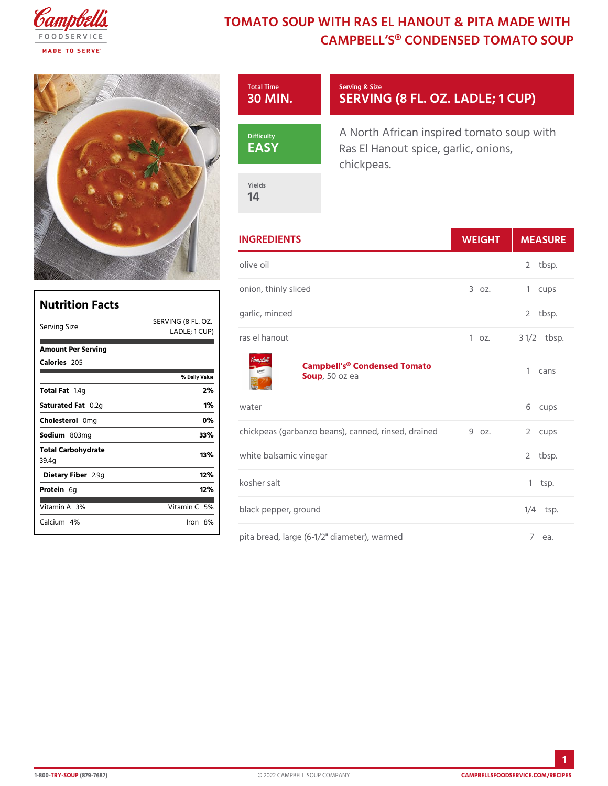## TOMATO SOUP WITH RAS EL HANOUT & CAMPBELL S® CONDENSED TO

|                                        |                       | Total Time<br>30 MIN                                   | Serving & Size<br>SERVING (8 FL. OZ. LAD                                         |                      |  |
|----------------------------------------|-----------------------|--------------------------------------------------------|----------------------------------------------------------------------------------|----------------------|--|
|                                        |                       | Difficulty<br>EASY                                     | A North African inspired tomato<br>Ras El Hanout spice, garlic, on<br>chickpeas. |                      |  |
|                                        |                       | Yields<br>14                                           |                                                                                  |                      |  |
|                                        |                       | <b>INGREDIENTS</b>                                     | WEIGH                                                                            | MEASU                |  |
|                                        |                       | olive oil                                              |                                                                                  | $2$ tbsp.            |  |
|                                        |                       | onion, thinly sliced                                   | $3.0Z$ .                                                                         | 1 cups               |  |
| <b>Nutrition Facts</b><br>Serving Size | SERVING (8 FL. OZ.    | garlic, minced                                         |                                                                                  | 2 tbsp.              |  |
|                                        | $LADLE$ ; 1           | CUP)<br>ras el hanout                                  | 1 oz.                                                                            | $3 \frac{1}{2}$ bsp. |  |
| Amount Per Serving<br>Calorie2s05      | % Daily Value         |                                                        | Campbell's® Condensed Tomato<br>Sou,p50 oz ea                                    | 1 cans               |  |
| Total Fat4g                            | 2%                    |                                                        |                                                                                  |                      |  |
| Saturated OF 2tg                       | 1%                    | water                                                  |                                                                                  | 6 cups               |  |
| Choleste@onlg                          | $0\%$                 | chickpeas (garbanzo beans), canned9 roinsed, 2draumped |                                                                                  |                      |  |
| Sodium 803mg                           | 33%                   |                                                        |                                                                                  |                      |  |
| Total Carbohydrate<br>39.4g            | 13%                   | white balsamic vinegar                                 |                                                                                  | $2$ tbsp.            |  |
| Dietary F2 b 9eg                       | 12%                   | kosher salt                                            |                                                                                  | $1$ tsp.             |  |
| Protei6g                               | 12%                   |                                                        |                                                                                  |                      |  |
| Vitamin3A6                             | Vitamin5 <sup>@</sup> | black pepper, ground                                   |                                                                                  | $1/4$ tsp.           |  |
| Calciu4n%                              | $l$ ron $8%$          |                                                        |                                                                                  |                      |  |
|                                        |                       |                                                        | pita bread, large (6-1/2" diameter), warmed                                      | 7 e a .              |  |